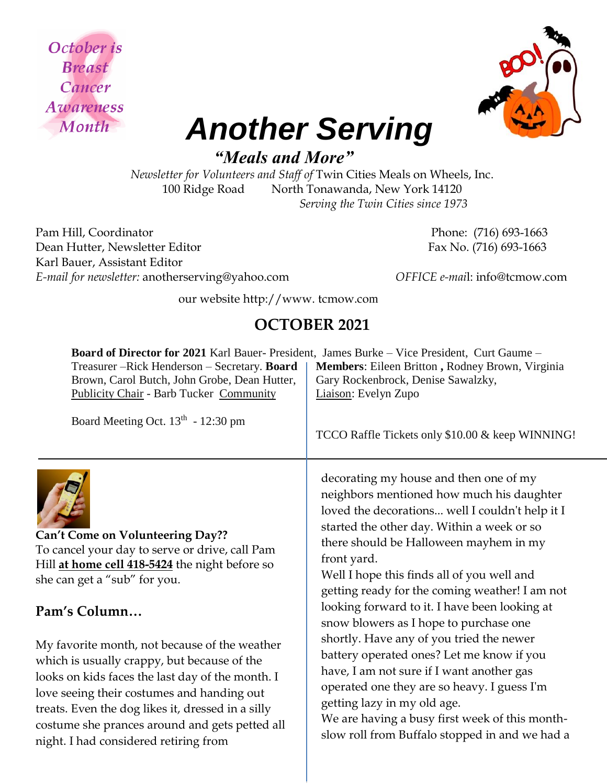October is **Breast** Cancer **Awareness** Month



# *Another Serving*

*"Meals and More"*

*Newsletter for Volunteers and Staff of* Twin Cities Meals on Wheels, Inc. 100 Ridge Road North Tonawanda, New York 14120 *Serving the Twin Cities since 1973*

Pam Hill, Coordinator Phone: (716) 693-1663 Dean Hutter, Newsletter Editor Fax No. (716) 693-1663 Karl Bauer, Assistant Editor *E-mail for newsletter:* anotherserving@yahoo.com *OFFICE e-mai*l: info@tcmow.com

our website http://www. tcmow.com

# **OCTOBER 2021**

| <b>Board of Director for 2021</b> Karl Bauer- President, James Burke – Vice President, Curt Gaume –<br>Treasurer-Rick Henderson - Secretary. Board<br>Brown, Carol Butch, John Grobe, Dean Hutter,<br><b>Publicity Chair - Barb Tucker Community</b>                                                                                                                                                                                                                                                                                          | Members: Eileen Britton, Rodney Brown, Virginia<br>Gary Rockenbrock, Denise Sawalzky,<br>Liaison: Evelyn Zupo                                                                                                                                                                                                                                                                                                                                                                                                                                                                                                                                                                                                                                                    |
|-----------------------------------------------------------------------------------------------------------------------------------------------------------------------------------------------------------------------------------------------------------------------------------------------------------------------------------------------------------------------------------------------------------------------------------------------------------------------------------------------------------------------------------------------|------------------------------------------------------------------------------------------------------------------------------------------------------------------------------------------------------------------------------------------------------------------------------------------------------------------------------------------------------------------------------------------------------------------------------------------------------------------------------------------------------------------------------------------------------------------------------------------------------------------------------------------------------------------------------------------------------------------------------------------------------------------|
| Board Meeting Oct. 13 <sup>th</sup> - 12:30 pm                                                                                                                                                                                                                                                                                                                                                                                                                                                                                                | TCCO Raffle Tickets only \$10.00 & keep WINNING!                                                                                                                                                                                                                                                                                                                                                                                                                                                                                                                                                                                                                                                                                                                 |
| <b>Can't Come on Volunteering Day??</b><br>To cancel your day to serve or drive, call Pam<br>Hill at home cell 418-5424 the night before so<br>she can get a "sub" for you.<br>Pam's Column<br>My favorite month, not because of the weather<br>which is usually crappy, but because of the<br>looks on kids faces the last day of the month. I<br>love seeing their costumes and handing out<br>treats. Even the dog likes it, dressed in a silly<br>costume she prances around and gets petted all<br>night. I had considered retiring from | decorating my house and then one of my<br>neighbors mentioned how much his daughter<br>loved the decorations well I couldn't help it I<br>started the other day. Within a week or so<br>there should be Halloween mayhem in my<br>front yard.<br>Well I hope this finds all of you well and<br>getting ready for the coming weather! I am not<br>looking forward to it. I have been looking at<br>snow blowers as I hope to purchase one<br>shortly. Have any of you tried the newer<br>battery operated ones? Let me know if you<br>have, I am not sure if I want another gas<br>operated one they are so heavy. I guess I'm<br>getting lazy in my old age.<br>We are having a busy first week of this month-<br>slow roll from Buffalo stopped in and we had a |
|                                                                                                                                                                                                                                                                                                                                                                                                                                                                                                                                               |                                                                                                                                                                                                                                                                                                                                                                                                                                                                                                                                                                                                                                                                                                                                                                  |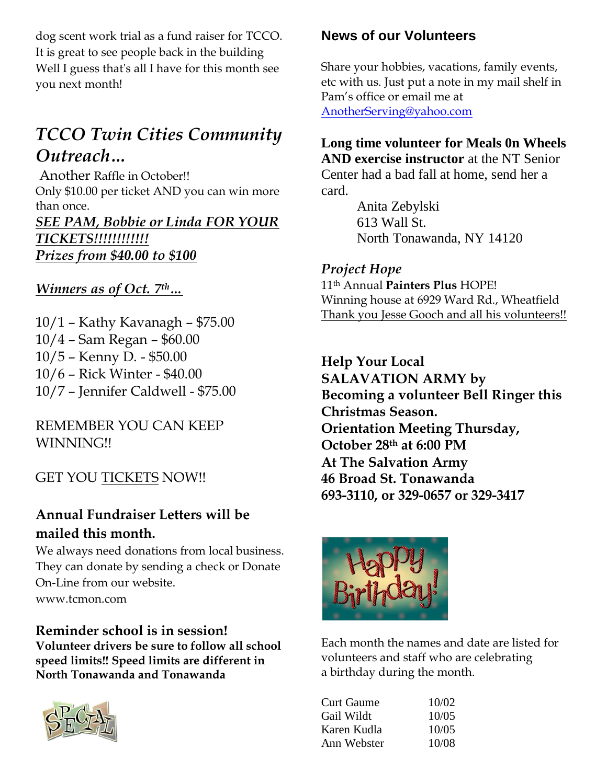dog scent work trial as a fund raiser for TCCO. It is great to see people back in the building Well I guess that's all I have for this month see you next month!

# *TCCO Twin Cities Community Outreach…*

Another Raffle in October!! Only \$10.00 per ticket AND you can win more than once.

# *SEE PAM, Bobbie or Linda FOR YOUR TICKETS!!!!!!!!!!!! Prizes from \$40.00 to \$100*

*Winners as of Oct. 7th…*

10/1 – Kathy Kavanagh – \$75.00 10/4 – Sam Regan – \$60.00 10/5 – Kenny D. - \$50.00 10/6 – Rick Winter - \$40.00 10/7 – Jennifer Caldwell - \$75.00

REMEMBER YOU CAN KEEP WINNING!!

GET YOU TICKETS NOW!!

# **Annual Fundraiser Letters will be mailed this month.**

We always need donations from local business. They can donate by sending a check or Donate On-Line from our website. www.tcmon.com

**Reminder school is in session! Volunteer drivers be sure to follow all school speed limits!! Speed limits are different in North Tonawanda and Tonawanda**



# **News of our Volunteers**

Share your hobbies, vacations, family events, etc with us. Just put a note in my mail shelf in Pam's office or email me at [AnotherServing@yahoo.com](mailto:AnotherServing@yahoo.com)

# **Long time volunteer for Meals 0n Wheels**

**AND exercise instructor** at the NT Senior Center had a bad fall at home, send her a card.

> Anita Zebylski 613 Wall St. North Tonawanda, NY 14120

# *Project Hope*

11th Annual **Painters Plus** HOPE! Winning house at 6929 Ward Rd., Wheatfield Thank you Jesse Gooch and all his volunteers!!

# **Help Your Local**

**SALAVATION ARMY by Becoming a volunteer Bell Ringer this Christmas Season. Orientation Meeting Thursday, October 28th at 6:00 PM At The Salvation Army 46 Broad St. Tonawanda 693-3110, or 329-0657 or 329-3417**



Each month the names and date are listed for volunteers and staff who are celebrating a birthday during the month.

| 10/02  |
|--------|
| 10/05  |
| 10/0.5 |
| 10/08  |
|        |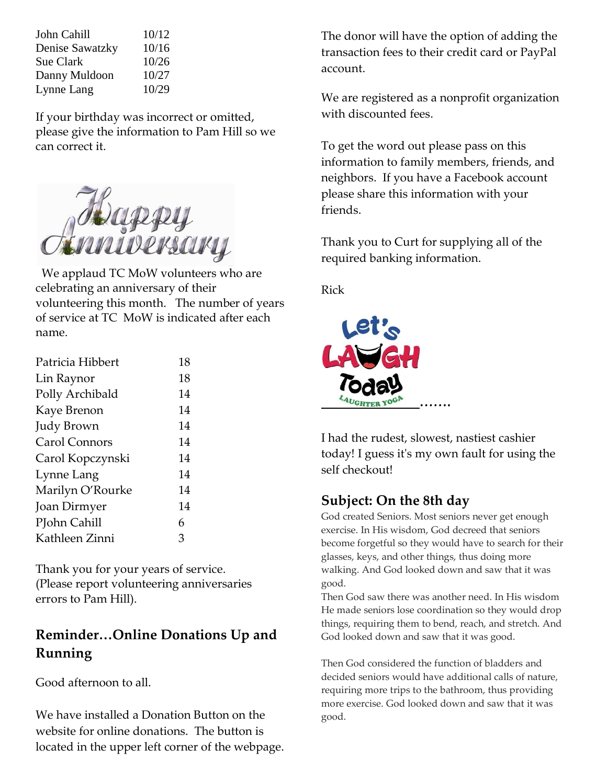| John Cahill     | 10/12 |
|-----------------|-------|
| Denise Sawatzky | 10/16 |
| Sue Clark       | 10/26 |
| Danny Muldoon   | 10/27 |
| Lynne Lang      | 10/29 |

If your birthday was incorrect or omitted, please give the information to Pam Hill so we can correct it.



 We applaud TC MoW volunteers who are celebrating an anniversary of their volunteering this month. The number of years of service at TC MoW is indicated after each name.

| Patricia Hibbert     | 18 |
|----------------------|----|
| Lin Raynor           | 18 |
| Polly Archibald      | 14 |
| Kaye Brenon          | 14 |
| <b>Judy Brown</b>    | 14 |
| <b>Carol Connors</b> | 14 |
| Carol Kopczynski     | 14 |
| Lynne Lang           | 14 |
| Marilyn O'Rourke     | 14 |
| Joan Dirmyer         | 14 |
| PJohn Cahill         | 6  |
| Kathleen Zinni       | 3  |
|                      |    |

Thank you for your years of service. (Please report volunteering anniversaries errors to Pam Hill).

# **Reminder…Online Donations Up and Running**

Good afternoon to all.

We have installed a Donation Button on the website for online donations. The button is located in the upper left corner of the webpage. The donor will have the option of adding the transaction fees to their credit card or PayPal account.

We are registered as a nonprofit organization with discounted fees.

To get the word out please pass on this information to family members, friends, and neighbors. If you have a Facebook account please share this information with your friends.

Thank you to Curt for supplying all of the required banking information.

Rick



I had the rudest, slowest, nastiest cashier today! I guess it's my own fault for using the self checkout!

# **Subject: On the 8th day**

God created Seniors. Most seniors never get enough exercise. In His wisdom, God decreed that seniors become forgetful so they would have to search for their glasses, keys, and other things, thus doing more walking. And God looked down and saw that it was good.

Then God saw there was another need. In His wisdom He made seniors lose coordination so they would drop things, requiring them to bend, reach, and stretch. And God looked down and saw that it was good.

Then God considered the function of bladders and decided seniors would have additional calls of nature, requiring more trips to the bathroom, thus providing more exercise. God looked down and saw that it was good.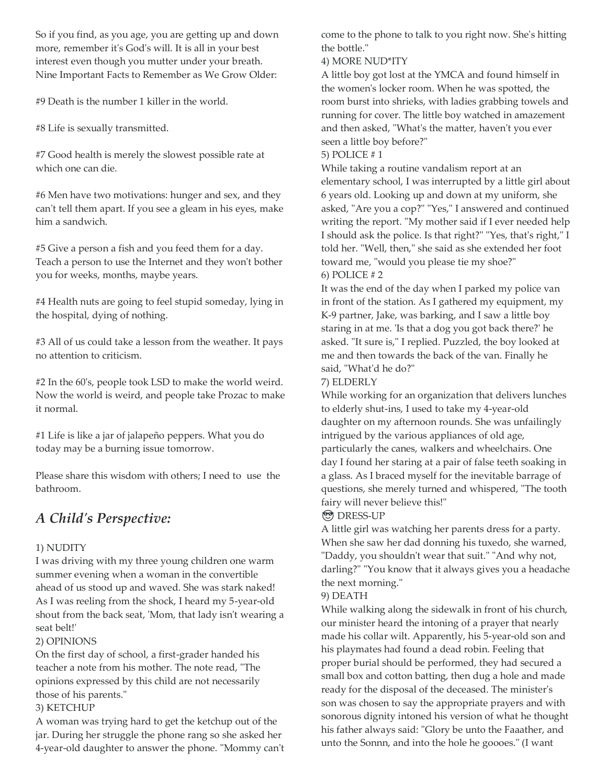So if you find, as you age, you are getting up and down more, remember it's God's will. It is all in your best interest even though you mutter under your breath. Nine Important Facts to Remember as We Grow Older:

#9 Death is the number 1 killer in the world.

#8 Life is sexually transmitted.

#7 Good health is merely the slowest possible rate at which one can die.

#6 Men have two motivations: hunger and sex, and they can't tell them apart. If you see a gleam in his eyes, make him a sandwich.

#5 Give a person a fish and you feed them for a day. Teach a person to use the Internet and they won't bother you for weeks, months, maybe years.

#4 Health nuts are going to feel stupid someday, lying in the hospital, dying of nothing.

#3 All of us could take a lesson from the weather. It pays no attention to criticism.

#2 In the 60's, people took LSD to make the world weird. Now the world is weird, and people take Prozac to make it normal.

#1 Life is like a jar of jalapeño peppers. What you do today may be a burning issue tomorrow.

Please share this wisdom with others; I need to use the bathroom.

# *A Child's Perspective:*

#### 1) NUDITY

I was driving with my three young children one warm summer evening when a woman in the convertible ahead of us stood up and waved. She was stark naked! As I was reeling from the shock, I heard my 5-year-old shout from the back seat, 'Mom, that lady isn't wearing a seat belt!'

#### 2) OPINIONS

On the first day of school, a first-grader handed his teacher a note from his mother. The note read, "The opinions expressed by this child are not necessarily those of his parents."

#### 3) KETCHUP

A woman was trying hard to get the ketchup out of the jar. During her struggle the phone rang so she asked her 4-year-old daughter to answer the phone. "Mommy can't come to the phone to talk to you right now. She's hitting the bottle."

#### 4) MORE NUD\*ITY

A little boy got lost at the YMCA and found himself in the women's locker room. When he was spotted, the room burst into shrieks, with ladies grabbing towels and running for cover. The little boy watched in amazement and then asked, "What's the matter, haven't you ever seen a little boy before?"

#### 5) POLICE # 1

While taking a routine vandalism report at an elementary school, I was interrupted by a little girl about 6 years old. Looking up and down at my uniform, she asked, "Are you a cop?" "Yes," I answered and continued writing the report. "My mother said if I ever needed help I should ask the police. Is that right?" "Yes, that's right," I told her. "Well, then," she said as she extended her foot toward me, "would you please tie my shoe?" 6) POLICE # 2

It was the end of the day when I parked my police van in front of the station. As I gathered my equipment, my K-9 partner, Jake, was barking, and I saw a little boy staring in at me. 'Is that a dog you got back there?' he asked. "It sure is," I replied. Puzzled, the boy looked at me and then towards the back of the van. Finally he said, "What'd he do?"

#### 7) ELDERLY

While working for an organization that delivers lunches to elderly shut-ins, I used to take my 4-year-old daughter on my afternoon rounds. She was unfailingly intrigued by the various appliances of old age, particularly the canes, walkers and wheelchairs. One day I found her staring at a pair of false teeth soaking in a glass. As I braced myself for the inevitable barrage of questions, she merely turned and whispered, "The tooth fairy will never believe this!"

#### DRESS-UP

A little girl was watching her parents dress for a party. When she saw her dad donning his tuxedo, she warned, "Daddy, you shouldn't wear that suit." "And why not, darling?" "You know that it always gives you a headache the next morning."

#### 9) DEATH

While walking along the sidewalk in front of his church, our minister heard the intoning of a prayer that nearly made his collar wilt. Apparently, his 5-year-old son and his playmates had found a dead robin. Feeling that proper burial should be performed, they had secured a small box and cotton batting, then dug a hole and made ready for the disposal of the deceased. The minister's son was chosen to say the appropriate prayers and with sonorous dignity intoned his version of what he thought his father always said: "Glory be unto the Faaather, and unto the Sonnn, and into the hole he goooes." (I want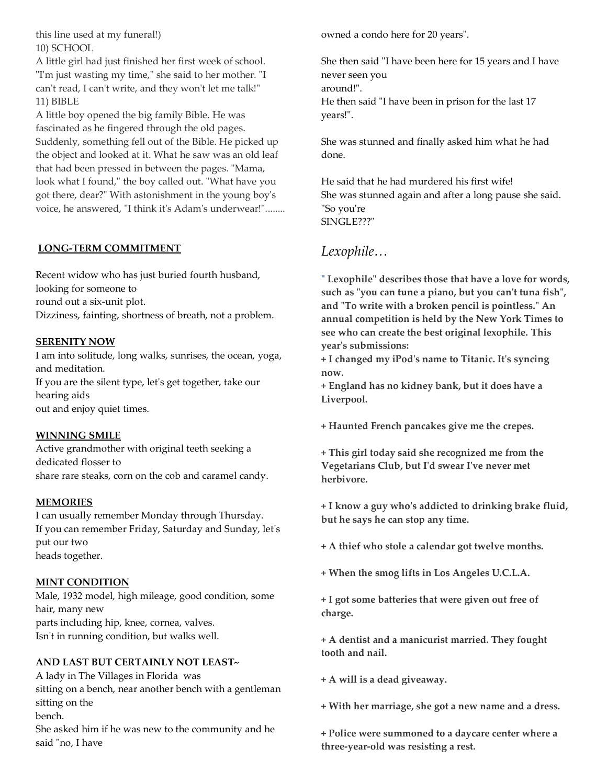this line used at my funeral!) 10) SCHOOL

A little girl had just finished her first week of school. "I'm just wasting my time," she said to her mother. "I can't read, I can't write, and they won't let me talk!" 11) BIBLE

A little boy opened the big family Bible. He was fascinated as he fingered through the old pages. Suddenly, something fell out of the Bible. He picked up the object and looked at it. What he saw was an old leaf that had been pressed in between the pages. "Mama, look what I found," the boy called out. "What have you got there, dear?" With astonishment in the young boy's voice, he answered, "I think it's Adam's underwear!"........

#### **LONG-TERM COMMITMENT**

Recent widow who has just buried fourth husband, looking for someone to round out a six-unit plot. Dizziness, fainting, shortness of breath, not a problem.

#### **SERENITY NOW**

I am into solitude, long walks, sunrises, the ocean, yoga, and meditation. If you are the silent type, let's get together, take our hearing aids out and enjoy quiet times.

#### **WINNING SMILE**

Active grandmother with original teeth seeking a dedicated flosser to share rare steaks, corn on the cob and caramel candy.

#### **MEMORIES**

I can usually remember Monday through Thursday. If you can remember Friday, Saturday and Sunday, let's put our two heads together.

#### **MINT CONDITION**

Male, 1932 model, high mileage, good condition, some hair, many new parts including hip, knee, cornea, valves. Isn't in running condition, but walks well.

#### **AND LAST BUT CERTAINLY NOT LEAST~**

A lady in The Villages in Florida was sitting on a bench, near another bench with a gentleman sitting on the bench. She asked him if he was new to the community and he said "no, I have

owned a condo here for 20 years".

She then said "I have been here for 15 years and I have never seen you

around!".

He then said "I have been in prison for the last 17 years!".

She was stunned and finally asked him what he had done.

He said that he had murdered his first wife! She was stunned again and after a long pause she said. "So you're SINGLE???"

## *Lexophile…*

**" Lexophile" describes those that have a love for words, such as "you can tune a piano, but you can't tuna fish", and "To write with a broken pencil is pointless." An annual competition is held by the New York Times to see who can create the best original lexophile. This year's submissions:**

**+ I changed my iPod's name to Titanic. It's syncing now.**

**+ England has no kidney bank, but it does have a Liverpool.**

**+ Haunted French pancakes give me the crepes.**

**+ This girl today said she recognized me from the Vegetarians Club, but I'd swear I've never met herbivore.**

**+ I know a guy who's addicted to drinking brake fluid, but he says he can stop any time.**

**+ A thief who stole a calendar got twelve months.**

**+ When the smog lifts in Los Angeles U.C.L.A.**

**+ I got some batteries that were given out free of charge.**

**+ A dentist and a manicurist married. They fought tooth and nail.**

**+ A will is a dead giveaway.**

**+ With her marriage, she got a new name and a dress.**

**+ Police were summoned to a daycare center where a three-year-old was resisting a rest.**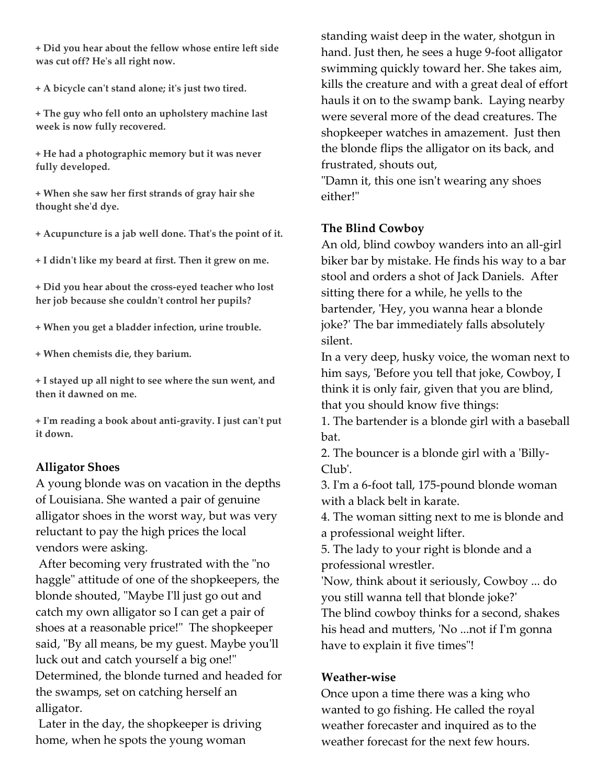**+ Did you hear about the fellow whose entire left side was cut off? He's all right now.**

**+ A bicycle can't stand alone; it's just two tired.**

**+ The guy who fell onto an upholstery machine last week is now fully recovered.**

**+ He had a photographic memory but it was never fully developed.**

**+ When she saw her first strands of gray hair she thought she'd dye.**

**+ Acupuncture is a jab well done. That's the point of it.**

**+ I didn't like my beard at first. Then it grew on me.**

**+ Did you hear about the cross-eyed teacher who lost her job because she couldn't control her pupils?**

**+ When you get a bladder infection, urine trouble.**

**+ When chemists die, they barium.**

**+ I stayed up all night to see where the sun went, and then it dawned on me.**

**+ I'm reading a book about anti-gravity. I just can't put it down.**

### **Alligator Shoes**

A young blonde was on vacation in the depths of Louisiana. She wanted a pair of genuine alligator shoes in the worst way, but was very reluctant to pay the high prices the local vendors were asking.

After becoming very frustrated with the "no haggle" attitude of one of the shopkeepers, the blonde shouted, "Maybe I'll just go out and catch my own alligator so I can get a pair of shoes at a reasonable price!" The shopkeeper said, "By all means, be my guest. Maybe you'll luck out and catch yourself a big one!" Determined, the blonde turned and headed for the swamps, set on catching herself an alligator.

Later in the day, the shopkeeper is driving home, when he spots the young woman

standing waist deep in the water, shotgun in hand. Just then, he sees a huge 9-foot alligator swimming quickly toward her. She takes aim, kills the creature and with a great deal of effort hauls it on to the swamp bank. Laying nearby were several more of the dead creatures. The shopkeeper watches in amazement. Just then the blonde flips the alligator on its back, and frustrated, shouts out,

"Damn it, this one isn't wearing any shoes either!"

### **The Blind Cowboy**

An old, blind cowboy wanders into an all-girl biker bar by mistake. He finds his way to a bar stool and orders a shot of Jack Daniels. After sitting there for a while, he yells to the bartender, 'Hey, you wanna hear a blonde joke?' The bar immediately falls absolutely silent.

In a very deep, husky voice, the woman next to him says, 'Before you tell that joke, Cowboy, I think it is only fair, given that you are blind, that you should know five things:

1. The bartender is a blonde girl with a baseball bat.

2. The bouncer is a blonde girl with a 'Billy-Club'.

3. I'm a 6-foot tall, 175-pound blonde woman with a black belt in karate.

4. The woman sitting next to me is blonde and a professional weight lifter.

5. The lady to your right is blonde and a professional wrestler.

'Now, think about it seriously, Cowboy ... do you still wanna tell that blonde joke?'

The blind cowboy thinks for a second, shakes his head and mutters, 'No ...not if I'm gonna have to explain it five times"!

### **Weather-wise**

Once upon a time there was a king who wanted to go fishing. He called the royal weather forecaster and inquired as to the weather forecast for the next few hours.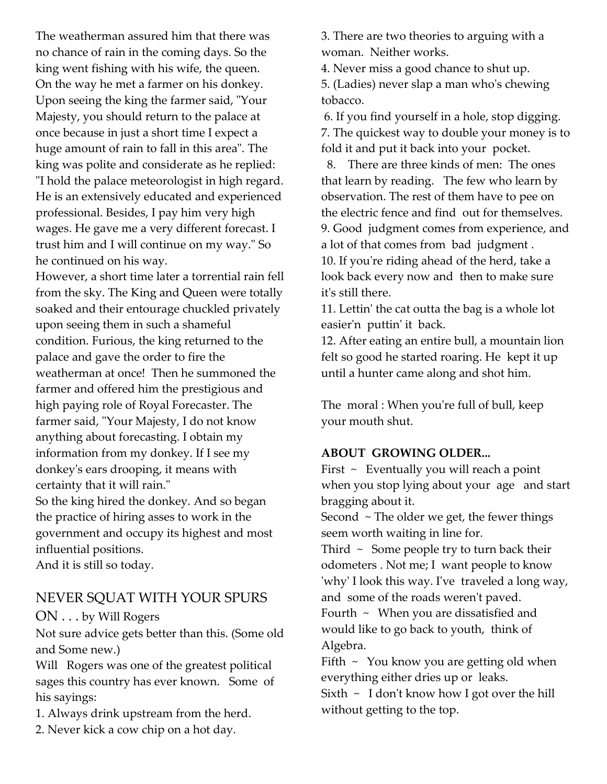The weatherman assured him that there was no chance of rain in the coming days. So the king went fishing with his wife, the queen. On the way he met a farmer on his donkey. Upon seeing the king the farmer said, "Your Majesty, you should return to the palace at once because in just a short time I expect a huge amount of rain to fall in this area". The king was polite and considerate as he replied: "I hold the palace meteorologist in high regard. He is an extensively educated and experienced professional. Besides, I pay him very high wages. He gave me a very different forecast. I trust him and I will continue on my way." So he continued on his way.

However, a short time later a torrential rain fell from the sky. The King and Queen were totally soaked and their entourage chuckled privately upon seeing them in such a shameful condition. Furious, the king returned to the palace and gave the order to fire the weatherman at once! Then he summoned the farmer and offered him the prestigious and high paying role of Royal Forecaster. The farmer said, "Your Majesty, I do not know anything about forecasting. I obtain my information from my donkey. If I see my donkey's ears drooping, it means with certainty that it will rain." So the king hired the donkey. And so began the practice of hiring asses to work in the government and occupy its highest and most influential positions. And it is still so today.

# NEVER SQUAT WITH YOUR SPURS

### ON . . . by Will Rogers

Not sure advice gets better than this. (Some old and Some new.)

Will Rogers was one of the greatest political sages this country has ever known. Some of his sayings:

1. Always drink upstream from the herd.

2. Never kick a cow chip on a hot day.

3. There are two theories to arguing with a woman. Neither works.

4. Never miss a good chance to shut up. 5. (Ladies) never slap a man who's chewing

tobacco.

6. If you find yourself in a hole, stop digging. 7. The quickest way to double your money is to fold it and put it back into your pocket.

8. There are three kinds of men: The ones that learn by reading. The few who learn by observation. The rest of them have to pee on the electric fence and find out for themselves. 9. Good judgment comes from experience, and a lot of that comes from bad judgment . 10. If you're riding ahead of the herd, take a look back every now and then to make sure it's still there.

11. Lettin' the cat outta the bag is a whole lot easier'n puttin' it back.

12. After eating an entire bull, a mountain lion felt so good he started roaring. He kept it up until a hunter came along and shot him.

The moral : When you're full of bull, keep your mouth shut.

# **ABOUT GROWING OLDER...**

First  $\sim$  Eventually you will reach a point when you stop lying about your age and start bragging about it.

Second  $\sim$  The older we get, the fewer things seem worth waiting in line for.

Third  $\sim$  Some people try to turn back their odometers . Not me; I want people to know 'why' I look this way. I've traveled a long way, and some of the roads weren't paved.

Fourth  $\sim$  When you are dissatisfied and would like to go back to youth, think of Algebra.

Fifth  $\sim$  You know you are getting old when everything either dries up or leaks.

Sixth  $\sim$  I don't know how I got over the hill without getting to the top.